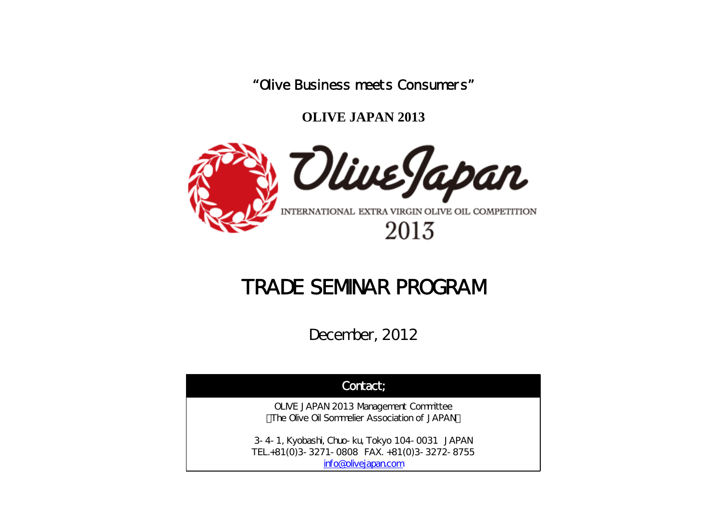"Olive Business meets Consumers"

**OLIVE JAPAN 2013**



## TRADE SEMINAR PROGRAM

December, 2012

| Contact;                                                                                                              |
|-----------------------------------------------------------------------------------------------------------------------|
| OLIVE JAPAN 2013 Management Committee<br>The Olive Oil Sommelier Association of JAPAN                                 |
| 3-4-1, Kyobashi, Chuo-ku, Tokyo 104-0031 JAPAN<br>TEL.+81(0)3-3271-0808 FAX. +81(0)3-3272-8755<br>info@olivejapan.com |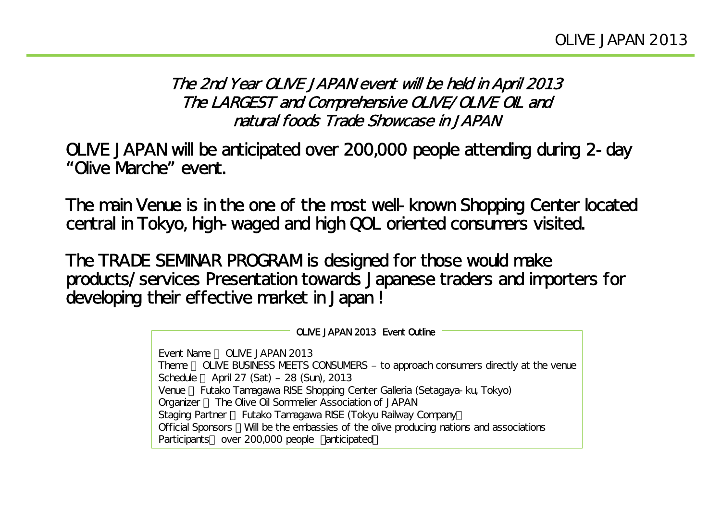The 2nd Year OLIVE JAPAN event will be held in April 2013 The LARGEST and Comprehensive OLIVE/OLIVE OIL and natural foods Trade Showcase in JAPAN

OLIVE JAPAN will be anticipated over 200,000 people attending during 2-day "Olive Marche" event.

The main Venue is in the one of the most well-known Shopping Center located central in Tokyo, high-waged and high QOL oriented consumers visited.

The TRADE SEMINAR PROGRAM is designed for those would make products/services Presentation towards Japanese traders and importers for developing their effective market in Japan !

> OLIVE JAPAN 2013 Event OutlineEvent Name : OLIVE JAPAN 2013Theme OLIVE BUSINESS MEETS CONSUMERS – to approach consumers directly at the venue Schedule : April 27 (Sat) – 28 (Sun), 2013 Venue Futako Tamagawa RISE Shopping Center Galleria (Setagaya-ku, Tokyo) Organizer The Olive Oil Sommelier Association of JAPAN Staging Partner Futako Tamagawa RISE (Tokyu Railway Company) Official Sponsors Will be the embassies of the olive producing nations and associations Participants over 200,000 people anticipated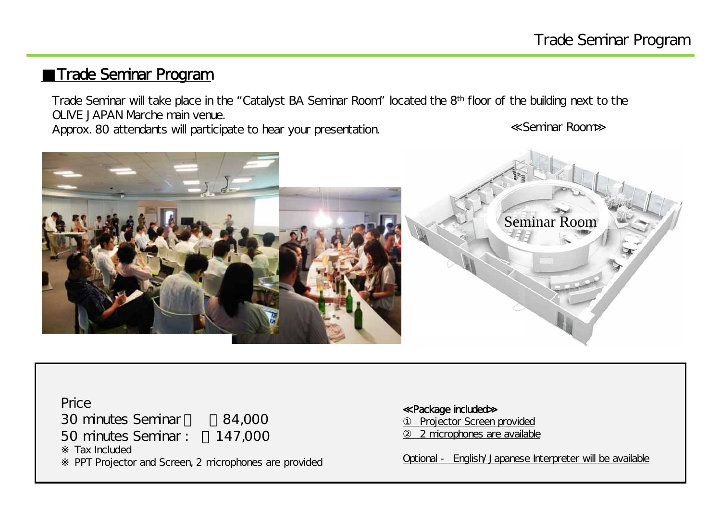## **Trade Seminar Program**

Trade Seminar will take place in the "Catalyst BA Seminar Room" located the 8th floor of the building next to the OLIVE JAPAN Marche main venue.

Approx. 80 attendants will participate to hear your presentation.

Seminar Room



Price30 minutes Seminar ¥84,000 50 minutes Seminar : ¥147,000 Tax IncludedPPT Projector and Screen, 2 microphones are provided

Package included

Projector Screen provided <u>2 microphones are available</u>

Optional - English/Japanese Interpreter will be available